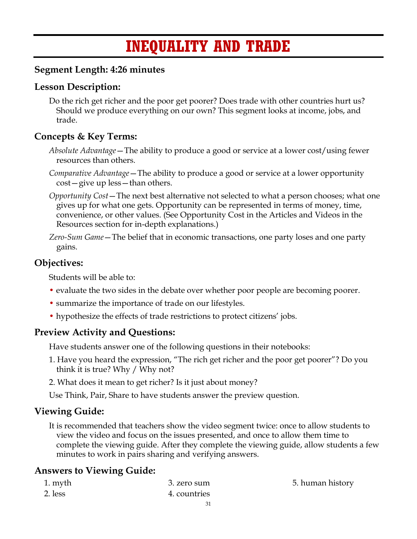# **INEQUALITY AND TRADE**

## **Segment Length: 4:26 minutes**

## **Lesson Description:**

Do the rich get richer and the poor get poorer? Does trade with other countries hurt us? Should we produce everything on our own? This segment looks at income, jobs, and trade.

## **Concepts & Key Terms:**

- *Absolute Advantage*—The ability to produce a good or service at a lower cost/using fewer resources than others.
- *Comparative Advantage*—The ability to produce a good or service at a lower opportunity cost—give up less—than others.
- *Opportunity Cost*—The next best alternative not selected to what a person chooses; what one gives up for what one gets. Opportunity can be represented in terms of money, time, convenience, or other values. (See Opportunity Cost in the Articles and Videos in the Resources section for in-depth explanations.)
- *Zero-Sum Game*—The belief that in economic transactions, one party loses and one party gains.

## **Objectives:**

Students will be able to:

- evaluate the two sides in the debate over whether poor people are becoming poorer.
- summarize the importance of trade on our lifestyles.
- hypothesize the effects of trade restrictions to protect citizens' jobs.

## **Preview Activity and Questions:**

Have students answer one of the following questions in their notebooks:

- 1. Have you heard the expression, "The rich get richer and the poor get poorer"? Do you think it is true? Why / Why not?
- 2. What does it mean to get richer? Is it just about money?

Use Think, Pair, Share to have students answer the preview question.

## **Viewing Guide:**

It is recommended that teachers show the video segment twice: once to allow students to view the video and focus on the issues presented, and once to allow them time to complete the viewing guide. After they complete the viewing guide, allow students a few minutes to work in pairs sharing and verifying answers.

## **Answers to Viewing Guide:**

| 1. myth | 3. zero sum  | 5. human history |
|---------|--------------|------------------|
| 2. less | 4. countries |                  |
|         |              |                  |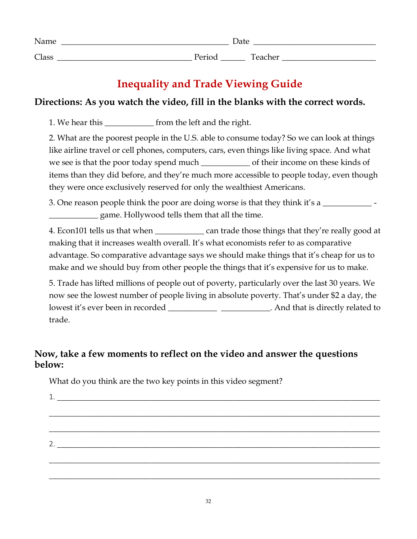| Name  | Date   |         |
|-------|--------|---------|
| Class | Period | Teacher |

# **Inequality and Trade Viewing Guide**

## **Directions: As you watch the video, fill in the blanks with the correct words.**

1. We hear this \_\_\_\_\_\_\_\_\_\_\_\_\_\_ from the left and the right.

2. What are the poorest people in the U.S. able to consume today? So we can look at things like airline travel or cell phones, computers, cars, even things like living space. And what we see is that the poor today spend much \_\_\_\_\_\_\_\_\_\_\_\_\_\_\_ of their income on these kinds of items than they did before, and they're much more accessible to people today, even though they were once exclusively reserved for only the wealthiest Americans.

3. One reason people think the poor are doing worse is that they think it's a \_\_\_\_\_\_\_\_\_\_\_\_ game. Hollywood tells them that all the time.

4. Econ101 tells us that when \_\_\_\_\_\_\_\_\_\_\_\_\_\_\_ can trade those things that they're really good at making that it increases wealth overall. It's what economists refer to as comparative advantage. So comparative advantage says we should make things that it's cheap for us to make and we should buy from other people the things that it's expensive for us to make.

5. Trade has lifted millions of people out of poverty, particularly over the last 30 years. We now see the lowest number of people living in absolute poverty. That's under \$2 a day, the lowest it's ever been in recorded \_\_\_\_\_\_\_\_\_\_\_\_\_\_\_\_\_\_\_\_\_\_\_\_\_\_. And that is directly related to trade.

## **Now, take a few moments to reflect on the video and answer the questions below:**

What do you think are the two key points in this video segment?

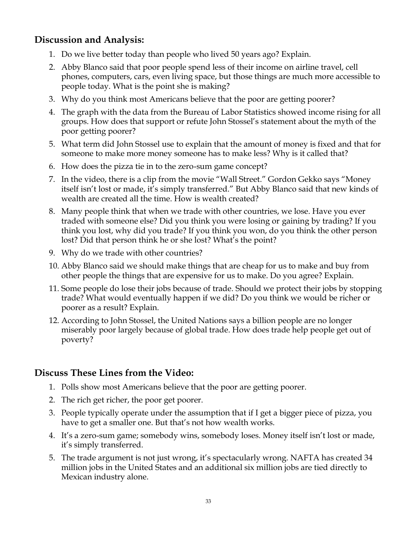## **Discussion and Analysis:**

- 1. Do we live better today than people who lived 50 years ago? Explain.
- 2. Abby Blanco said that poor people spend less of their income on airline travel, cell phones, computers, cars, even living space, but those things are much more accessible to people today. What is the point she is making?
- 3. Why do you think most Americans believe that the poor are getting poorer?
- 4. The graph with the data from the Bureau of Labor Statistics showed income rising for all groups. How does that support or refute John Stossel's statement about the myth of the poor getting poorer?
- 5. What term did John Stossel use to explain that the amount of money is fixed and that for someone to make more money someone has to make less? Why is it called that?
- 6. How does the pizza tie in to the zero-sum game concept?
- 7. In the video, there is a clip from the movie "Wall Street." Gordon Gekko says "Money itself isn't lost or made, it's simply transferred." But Abby Blanco said that new kinds of wealth are created all the time. How is wealth created?
- 8. Many people think that when we trade with other countries, we lose. Have you ever traded with someone else? Did you think you were losing or gaining by trading? If you think you lost, why did you trade? If you think you won, do you think the other person lost? Did that person think he or she lost? What's the point?
- 9. Why do we trade with other countries?
- 10. Abby Blanco said we should make things that are cheap for us to make and buy from other people the things that are expensive for us to make. Do you agree? Explain.
- 11. Some people do lose their jobs because of trade. Should we protect their jobs by stopping trade? What would eventually happen if we did? Do you think we would be richer or poorer as a result? Explain.
- 12. According to John Stossel, the United Nations says a billion people are no longer miserably poor largely because of global trade. How does trade help people get out of poverty?

## **Discuss These Lines from the Video:**

- 1. Polls show most Americans believe that the poor are getting poorer.
- 2. The rich get richer, the poor get poorer.
- 3. People typically operate under the assumption that if I get a bigger piece of pizza, you have to get a smaller one. But that's not how wealth works.
- 4. It's a zero-sum game; somebody wins, somebody loses. Money itself isn't lost or made, it's simply transferred.
- 5. The trade argument is not just wrong, it's spectacularly wrong. NAFTA has created 34 million jobs in the United States and an additional six million jobs are tied directly to Mexican industry alone.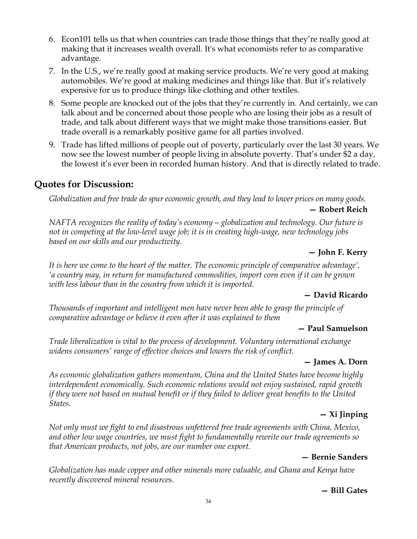- 6. Econ101 tells us that when countries can trade those things that they're really good at making that it increases wealth overall. It's what economists refer to as comparative advantage.
- 7. In the U.S., we're really good at making service products. We're very good at making automobiles. We're good at making medicines and things like that. But it's relatively expensive for us to produce things like clothing and other textiles.
- 8. Some people are knocked out of the jobs that they're currently in. And certainly, we can talk about and be concerned about those people who are losing their jobs as a result of trade, and talk about different ways that we might make those transitions easier. But trade overall is a remarkably positive game for all parties involved.
- 9. Trade has lifted millions of people out of poverty, particularly over the last 30 years. We now see the lowest number of people living in absolute poverty. That's under \$2 a day, the lowest it's ever been in recorded human history. And that is directly related to trade.

## **Quotes for Discussion:**

*Globalization and free trade do spur economic growth, and they lead to lower prices on many goods.*

#### **— Robert Reich**

*NAFTA recognizes the reality of today's economy—globalization and technology. Our future is not in competing at the low-level wage job; it is in creating high-wage, new technology jobs based on our skills and our productivity.*

### **— John F. Kerry**

*It is here we come to the heart of the matter. The economic principle of comparative advantage', 'a country may, in return for manufactured commodities, import corn even if it can be grown with less labour than in the country from which it is imported.*

#### **— David Ricardo**

*Thousands of important and intelligent men have never been able to grasp the principle of comparative advantage or believe it even after it was explained to them*

#### **— Paul Samuelson**

*Trade liberalization is vital to the process of development. Voluntary international exchange widens consumers' range of effective choices and lowers the risk of conflict.*

#### **— James A. Dorn**

*As economic globalization gathers momentum, China and the United States have become highly interdependent economically. Such economic relations would not enjoy sustained, rapid growth if they were not based on mutual benefit or if they failed to deliver great benefits to the United States.*

#### **— Xi Jinping**

*Not only must we fight to end disastrous unfettered free trade agreements with China, Mexico, and other low wage countries, we must fight to fundamentally rewrite our trade agreements so that American products, not jobs, are our number one export.*

#### **— Bernie Sanders**

*Globalization has made copper and other minerals more valuable, and Ghana and Kenya have recently discovered mineral resources.*

#### **— Bill Gates**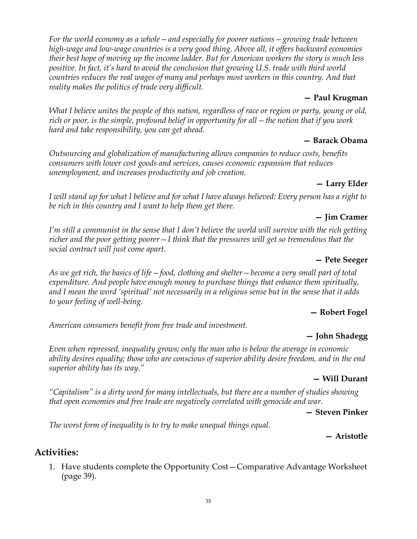35

*For the world economy as a whole—and especially for poorer nations—growing trade between high-wage and low-wage countries is a very good thing. Above all, it offers backward economies their best hope of moving up the income ladder. But for American workers the story is much less positive. In fact, it's hard to avoid the conclusion that growing U.S. trade with third world countries reduces the real wages of many and perhaps most workers in this country. And that reality makes the politics of trade very difficult.*

#### **— Paul Krugman**

*What I believe unites the people of this nation, regardless of race or region or party, young or old, rich or poor, is the simple, profound belief in opportunity for all—the notion that if you work hard and take responsibility, you can get ahead.*

#### **— Barack Obama**

*Outsourcing and globalization of manufacturing allows companies to reduce costs, benefits consumers with lower cost goods and services, causes economic expansion that reduces unemployment, and increases productivity and job creation.*

#### **— Larry Elder**

*I will stand up for what I believe and for what I have always believed: Every person has a right to be rich in this country and I want to help them get there.*

#### **— Jim Cramer**

*I'm still a communist in the sense that I don't believe the world will survive with the rich getting richer and the poor getting poorer—I think that the pressures will get so tremendous that the social contract will just come apart.*

#### **— Pete Seeger**

*As we get rich, the basics of life—food, clothing and shelter—become a very small part of total expenditure. And people have enough money to purchase things that enhance them spiritually, and I mean the word 'spiritual' not necessarily in a religious sense but in the sense that it adds to your feeling of well-being.*

#### **— Robert Fogel**

*American consumers benefit from free trade and investment.*

#### **— John Shadegg**

*Even when repressed, inequality grows; only the man who is below the average in economic ability desires equality; those who are conscious of superior ability desire freedom, and in the end superior ability has its way."*

#### **— Will Durant**

*"Capitalism" is a dirty word for many intellectuals, but there are a number of studies showing that open economies and free trade are negatively correlated with genocide and war.*

**— Steven Pinker**

*The worst form of inequality is to try to make unequal things equal.*

#### **— Aristotle**

## **Activities:**

1. Have students complete the Opportunity Cost—Comparative Advantage Worksheet (page 39).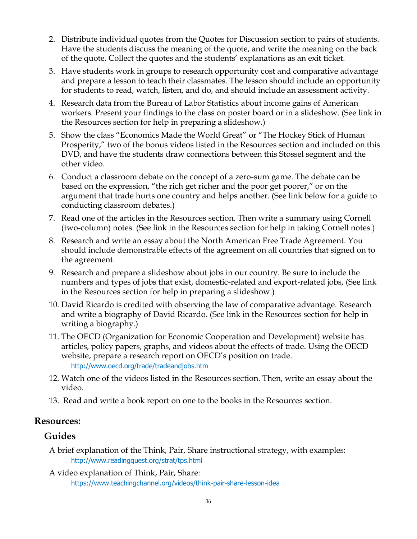- 2. Distribute individual quotes from the Quotes for Discussion section to pairs of students. Have the students discuss the meaning of the quote, and write the meaning on the back of the quote. Collect the quotes and the students' explanations as an exit ticket.
- 3. Have students work in groups to research opportunity cost and comparative advantage and prepare a lesson to teach their classmates. The lesson should include an opportunity for students to read, watch, listen, and do, and should include an assessment activity.
- 4. Research data from the Bureau of Labor Statistics about income gains of American workers. Present your findings to the class on poster board or in a slideshow. (See link in the Resources section for help in preparing a slideshow.)
- 5. Show the class "Economics Made the World Great" or "The Hockey Stick of Human Prosperity," two of the bonus videos listed in the Resources section and included on this DVD, and have the students draw connections between this Stossel segment and the other video.
- 6. Conduct a classroom debate on the concept of a zero-sum game. The debate can be based on the expression, "the rich get richer and the poor get poorer," or on the argument that trade hurts one country and helps another. (See link below for a guide to conducting classroom debates.)
- 7. Read one of the articles in the Resources section. Then write a summary using Cornell (two-column) notes. (See link in the Resources section for help in taking Cornell notes.)
- 8. Research and write an essay about the North American Free Trade Agreement. You should include demonstrable effects of the agreement on all countries that signed on to the agreement.
- 9. Research and prepare a slideshow about jobs in our country. Be sure to include the numbers and types of jobs that exist, domestic-related and export-related jobs, (See link in the Resources section for help in preparing a slideshow.)
- 10. David Ricardo is credited with observing the law of comparative advantage. Research and write a biography of David Ricardo. (See link in the Resources section for help in writing a biography.)
- 11. The OECD (Organization for Economic Cooperation and Development) website has articles, policy papers, graphs, and videos about the effects of trade. Using the OECD website, prepare a research report on OECD's position on trade. http://www.oecd.org/trade/tradeandjobs.htm
- 12. Watch one of the videos listed in the Resources section. Then, write an essay about the video.
- 13. Read and write a book report on one to the books in the Resources section.

## **Resources:**

## **Guides**

- A brief explanation of the Think, Pair, Share instructional strategy, with examples: http://www.readingquest.org/strat/tps.html
- A video explanation of Think, Pair, Share: https://www.teachingchannel.org/videos/think-pair-share-lesson-idea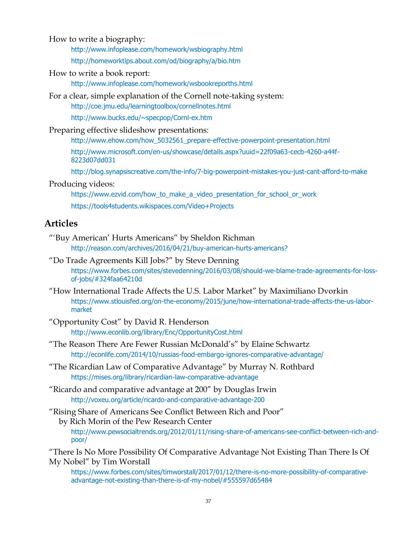How to write a biography:

http://www.infoplease.com/homework/wsbiography.html

http://homeworktips.about.com/od/biography/a/bio.htm

How to write a book report:

http://www.infoplease.com/homework/wsbookreporths.html

For a clear, simple explanation of the Cornell note-taking system:

http://coe.jmu.edu/learningtoolbox/cornellnotes.html

http://www.bucks.edu/~specpop/Cornl-ex.htm

Preparing effective slideshow presentations:

http://www.ehow.com/how\_5032561\_prepare-effective-powerpoint-presentation.html http://www.microsoft.com/en-us/showcase/details.aspx?uuid=22f09a63-cecb-4260-a44f-8223d07dd031

http://blog.synapsiscreative.com/the-info/7-big-powerpoint-mistakes-you-just-cant-afford-to-make

#### Producing videos:

https://www.ezvid.com/how\_to\_make\_a\_video\_presentation\_for\_school\_or\_work https://tools4students.wikispaces.com/Video+Projects

#### **Articles**

- "'Buy American' Hurts Americans" by Sheldon Richman http://reason.com/archives/2016/04/21/buy-american-hurts-americans?
- "Do Trade Agreements Kill Jobs?" by Steve Denning https://www.forbes.com/sites/stevedenning/2016/03/08/should-we-blame-trade-agreements-for-lossof-jobs/#324faa64210d
- "How International Trade Affects the U.S. Labor Market" by Maximiliano Dvorkin https://www.stlouisfed.org/on-the-economy/2015/june/how-international-trade-affects-the-us-labormarket
- "Opportunity Cost" by David R. Henderson http://www.econlib.org/library/Enc/OpportunityCost.html
- "The Reason There Are Fewer Russian McDonald's" by Elaine Schwartz http://econlife.com/2014/10/russias-food-embargo-ignores-comparative-advantage/
- "The Ricardian Law of Comparative Advantage" by Murray N. Rothbard https://mises.org/library/ricardian-law-comparative-advantage
- "Ricardo and comparative advantage at 200" by Douglas Irwin http://voxeu.org/article/ricardo-and-comparative-advantage-200

"Rising Share of Americans See Conflict Between Rich and Poor" by Rich Morin of the Pew Research Center http://www.pewsocialtrends.org/2012/01/11/rising-share-of-americans-see-conflict-between-rich-andpoor/

"There Is No More Possibility Of Comparative Advantage Not Existing Than There Is Of My Nobel" by Tim Worstall

https://www.forbes.com/sites/timworstall/2017/01/12/there-is-no-more-possibility-of-comparativeadvantage-not-existing-than-there-is-of-my-nobel/#555597d65484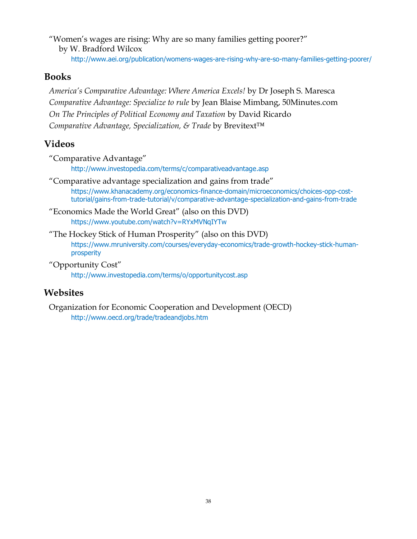"Women's wages are rising: Why are so many families getting poorer?" by W. Bradford Wilcox

http://www.aei.org/publication/womens-wages-are-rising-why-are-so-many-families-getting-poorer/

#### **Books**

*America's Comparative Advantage: Where America Excels!* by Dr Joseph S. Maresca *Comparative Advantage: Specialize to rule* by Jean Blaise Mimbang, 50Minutes.com *On The Principles of Political Economy and Taxation* by David Ricardo *Comparative Advantage, Specialization, & Trade* by Brevitext™

## **Videos**

"Comparative Advantage" http://www.investopedia.com/terms/c/comparativeadvantage.asp

- "Comparative advantage specialization and gains from trade" https://www.khanacademy.org/economics-finance-domain/microeconomics/choices-opp-costtutorial/gains-from-trade-tutorial/v/comparative-advantage-specialization-and-gains-from-trade
- "Economics Made the World Great" (also on this DVD) https://www.youtube.com/watch?v=RYxMVNqIYTw
- "The Hockey Stick of Human Prosperity" (also on this DVD) https://www.mruniversity.com/courses/everyday-economics/trade-growth-hockey-stick-humanprosperity
- "Opportunity Cost"

http://www.investopedia.com/terms/o/opportunitycost.asp

## **Websites**

Organization for Economic Cooperation and Development (OECD) http://www.oecd.org/trade/tradeandjobs.htm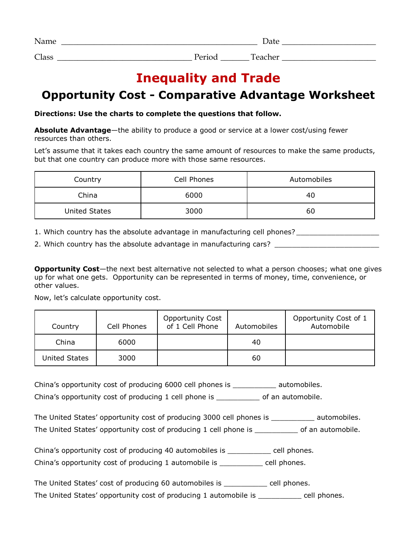| Name  | Date   |              |
|-------|--------|--------------|
| Class | Period | m<br>'eacher |

# **Inequality and Trade**

# **Opportunity Cost - Comparative Advantage Worksheet**

#### **Directions: Use the charts to complete the questions that follow.**

**Absolute Advantage**—the ability to produce a good or service at a lower cost/using fewer resources than others.

Let's assume that it takes each country the same amount of resources to make the same products, but that one country can produce more with those same resources.

| Country       | Cell Phones | Automobiles |
|---------------|-------------|-------------|
| China         | 6000        | 40          |
| United States | 3000        | 60          |

- 1. Which country has the absolute advantage in manufacturing cell phones? \_\_\_\_\_\_\_\_\_\_\_\_\_\_\_\_\_\_\_
- 2. Which country has the absolute advantage in manufacturing cars?

**Opportunity Cost**—the next best alternative not selected to what a person chooses; what one gives up for what one gets. Opportunity can be represented in terms of money, time, convenience, or other values.

Now, let's calculate opportunity cost.

| Country       | Cell Phones | <b>Opportunity Cost</b><br>of 1 Cell Phone | Automobiles | Opportunity Cost of 1<br>Automobile |
|---------------|-------------|--------------------------------------------|-------------|-------------------------------------|
| China         | 6000        |                                            | 40          |                                     |
| United States | 3000        |                                            | 60          |                                     |

China's opportunity cost of producing 6000 cell phones is \_\_\_\_\_\_\_\_\_\_ automobiles.

China's opportunity cost of producing 1 cell phone is \_\_\_\_\_\_\_\_\_\_ of an automobile.

| The United States' opportunity cost of producing 3000 cell phones is | automobiles.      |
|----------------------------------------------------------------------|-------------------|
| The United States' opportunity cost of producing 1 cell phone is     | of an automobile. |

China's opportunity cost of producing 40 automobiles is ell phones. China's opportunity cost of producing 1 automobile is \_\_\_\_\_\_\_\_\_\_ cell phones.

The United States' cost of producing 60 automobiles is \_\_\_\_\_\_\_\_\_\_ cell phones.

The United States' opportunity cost of producing 1 automobile is \_\_\_\_\_\_\_\_\_\_ cell phones.